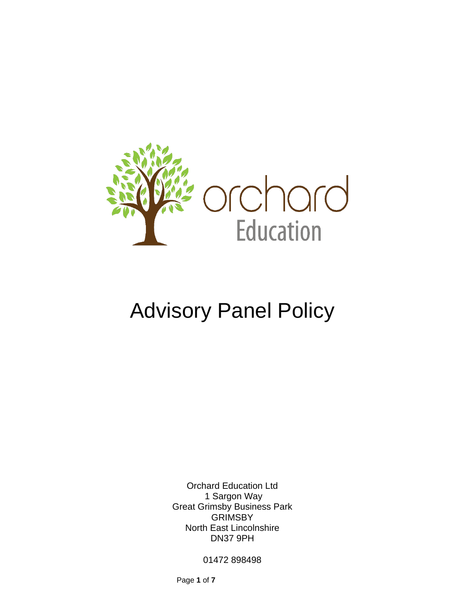

# Advisory Panel Policy

Orchard Education Ltd 1 Sargon Way Great Grimsby Business Park GRIMSBY North East Lincolnshire DN37 9PH

01472 898498

Page **1** of **7**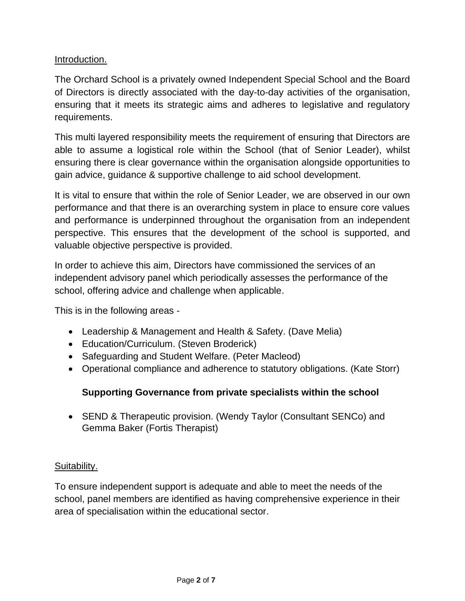# Introduction.

The Orchard School is a privately owned Independent Special School and the Board of Directors is directly associated with the day-to-day activities of the organisation, ensuring that it meets its strategic aims and adheres to legislative and regulatory requirements.

This multi layered responsibility meets the requirement of ensuring that Directors are able to assume a logistical role within the School (that of Senior Leader), whilst ensuring there is clear governance within the organisation alongside opportunities to gain advice, guidance & supportive challenge to aid school development.

It is vital to ensure that within the role of Senior Leader, we are observed in our own performance and that there is an overarching system in place to ensure core values and performance is underpinned throughout the organisation from an independent perspective. This ensures that the development of the school is supported, and valuable objective perspective is provided.

In order to achieve this aim, Directors have commissioned the services of an independent advisory panel which periodically assesses the performance of the school, offering advice and challenge when applicable.

This is in the following areas -

- Leadership & Management and Health & Safety. (Dave Melia)
- Education/Curriculum. (Steven Broderick)
- Safeguarding and Student Welfare. (Peter Macleod)
- Operational compliance and adherence to statutory obligations. (Kate Storr)

## **Supporting Governance from private specialists within the school**

• SEND & Therapeutic provision. (Wendy Taylor (Consultant SENCo) and Gemma Baker (Fortis Therapist)

## Suitability.

To ensure independent support is adequate and able to meet the needs of the school, panel members are identified as having comprehensive experience in their area of specialisation within the educational sector.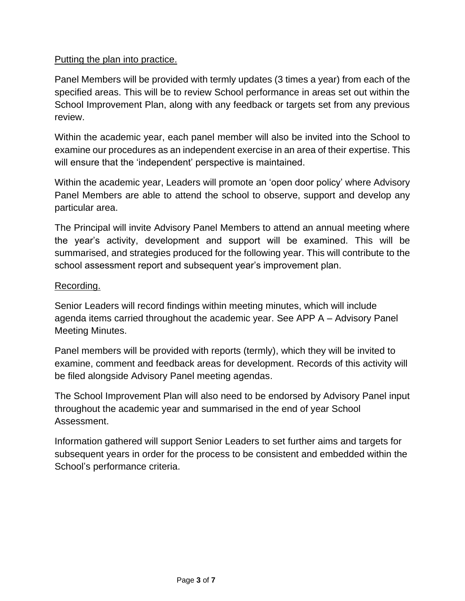# Putting the plan into practice.

Panel Members will be provided with termly updates (3 times a year) from each of the specified areas. This will be to review School performance in areas set out within the School Improvement Plan, along with any feedback or targets set from any previous review.

Within the academic year, each panel member will also be invited into the School to examine our procedures as an independent exercise in an area of their expertise. This will ensure that the 'independent' perspective is maintained.

Within the academic year, Leaders will promote an 'open door policy' where Advisory Panel Members are able to attend the school to observe, support and develop any particular area.

The Principal will invite Advisory Panel Members to attend an annual meeting where the year's activity, development and support will be examined. This will be summarised, and strategies produced for the following year. This will contribute to the school assessment report and subsequent year's improvement plan.

### Recording.

Senior Leaders will record findings within meeting minutes, which will include agenda items carried throughout the academic year. See APP A – Advisory Panel Meeting Minutes.

Panel members will be provided with reports (termly), which they will be invited to examine, comment and feedback areas for development. Records of this activity will be filed alongside Advisory Panel meeting agendas.

The School Improvement Plan will also need to be endorsed by Advisory Panel input throughout the academic year and summarised in the end of year School Assessment.

Information gathered will support Senior Leaders to set further aims and targets for subsequent years in order for the process to be consistent and embedded within the School's performance criteria.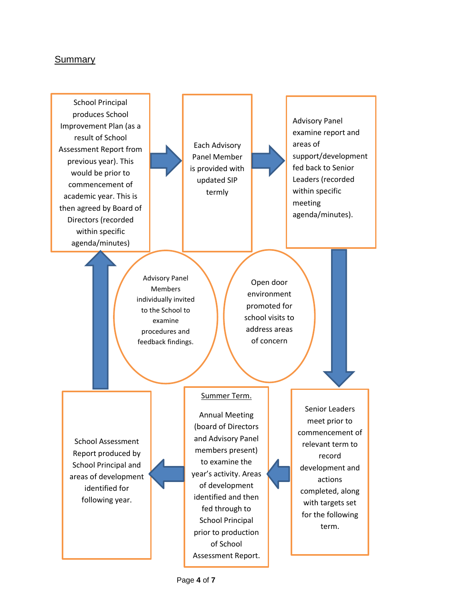#### Summary

School Principal produces School Improvement Plan (as a result of School Assessment Report from previous year). This would be prior to commencement of academic year. This is then agreed by Board of Directors (recorded within specific agenda/minutes)

Each Advisory Panel Member is provided with updated SIP termly

Advisory Panel examine report and areas of support/development fed back to Senior Leaders (recorded within specific meeting agenda/minutes).

Advisory Panel Members individually invited to the School to examine procedures and feedback findings.

Open door environment promoted for school visits to address areas of concern

School Assessment Report produced by School Principal and areas of development identified for following year.

#### Summer Term.

Annual Meeting (board of Directors and Advisory Panel members present) to examine the year's activity. Areas of development identified and then fed through to School Principal prior to production of School Assessment Report.

Senior Leaders meet prior to commencement of relevant term to record development and actions completed, along with targets set for the following term.

Page **4** of **7**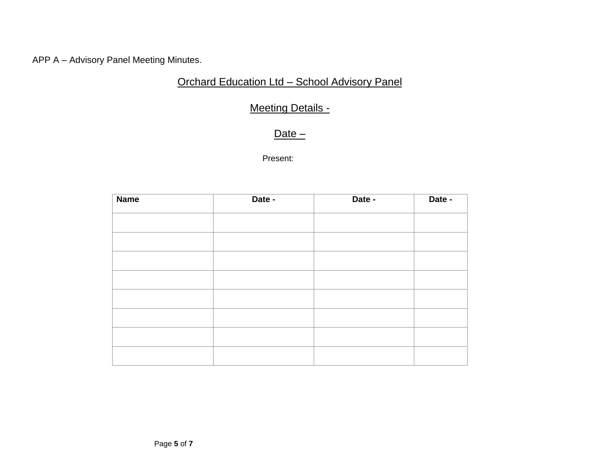APP A – Advisory Panel Meeting Minutes.

# Orchard Education Ltd – School Advisory Panel

# Meeting Details -

# Date –

Present:

| <b>Name</b> | Date - | Date - | Date - |
|-------------|--------|--------|--------|
|             |        |        |        |
|             |        |        |        |
|             |        |        |        |
|             |        |        |        |
|             |        |        |        |
|             |        |        |        |
|             |        |        |        |
|             |        |        |        |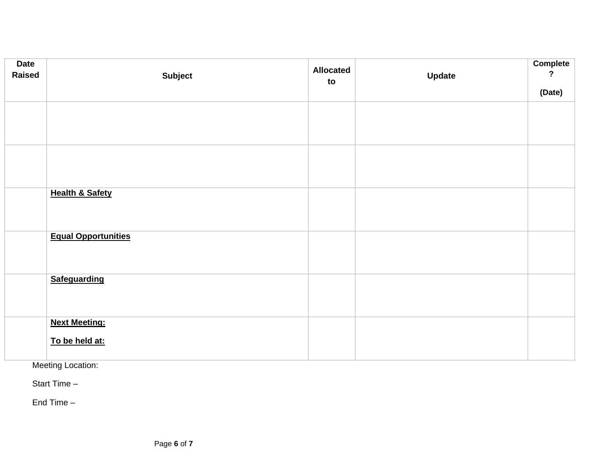| <b>Date</b><br><b>Raised</b> | <b>Subject</b>             | <b>Allocated</b><br>to | <b>Update</b> | Complete<br>$\overline{?}$ |
|------------------------------|----------------------------|------------------------|---------------|----------------------------|
|                              |                            |                        |               | (Date)                     |
|                              |                            |                        |               |                            |
|                              |                            |                        |               |                            |
|                              |                            |                        |               |                            |
|                              |                            |                        |               |                            |
|                              |                            |                        |               |                            |
|                              |                            |                        |               |                            |
|                              | <b>Health &amp; Safety</b> |                        |               |                            |
|                              |                            |                        |               |                            |
|                              | <b>Equal Opportunities</b> |                        |               |                            |
|                              |                            |                        |               |                            |
|                              |                            |                        |               |                            |
|                              |                            |                        |               |                            |
|                              | <b>Safeguarding</b>        |                        |               |                            |
|                              |                            |                        |               |                            |
|                              |                            |                        |               |                            |
|                              | <b>Next Meeting:</b>       |                        |               |                            |
|                              | To be held at:             |                        |               |                            |
|                              |                            |                        |               |                            |

Meeting Location:

Start Time –

End Time –